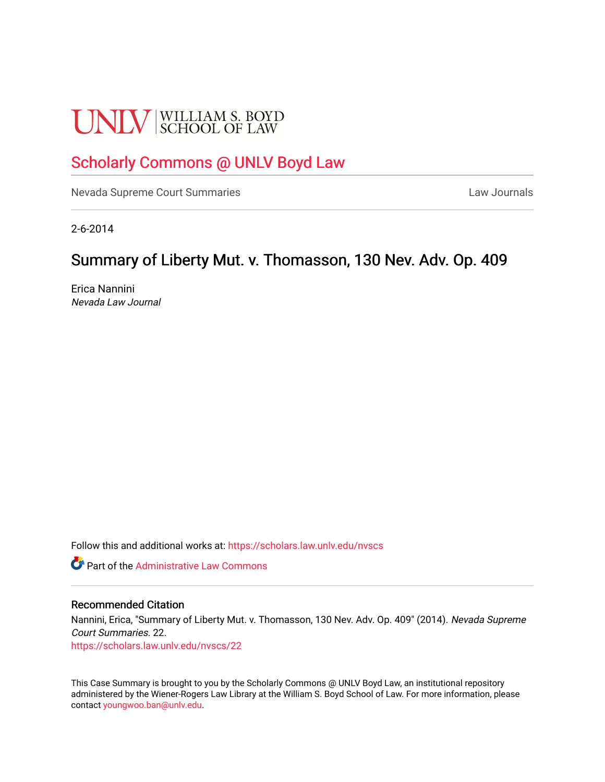# **UNLV** SCHOOL OF LAW

# [Scholarly Commons @ UNLV Boyd Law](https://scholars.law.unlv.edu/)

[Nevada Supreme Court Summaries](https://scholars.law.unlv.edu/nvscs) **Law Journals** Law Journals

2-6-2014

## Summary of Liberty Mut. v. Thomasson, 130 Nev. Adv. Op. 409

Erica Nannini Nevada Law Journal

Follow this and additional works at: [https://scholars.law.unlv.edu/nvscs](https://scholars.law.unlv.edu/nvscs?utm_source=scholars.law.unlv.edu%2Fnvscs%2F22&utm_medium=PDF&utm_campaign=PDFCoverPages)

**C** Part of the Administrative Law Commons

#### Recommended Citation

Nannini, Erica, "Summary of Liberty Mut. v. Thomasson, 130 Nev. Adv. Op. 409" (2014). Nevada Supreme Court Summaries. 22.

[https://scholars.law.unlv.edu/nvscs/22](https://scholars.law.unlv.edu/nvscs/22?utm_source=scholars.law.unlv.edu%2Fnvscs%2F22&utm_medium=PDF&utm_campaign=PDFCoverPages) 

This Case Summary is brought to you by the Scholarly Commons @ UNLV Boyd Law, an institutional repository administered by the Wiener-Rogers Law Library at the William S. Boyd School of Law. For more information, please contact [youngwoo.ban@unlv.edu](mailto:youngwoo.ban@unlv.edu).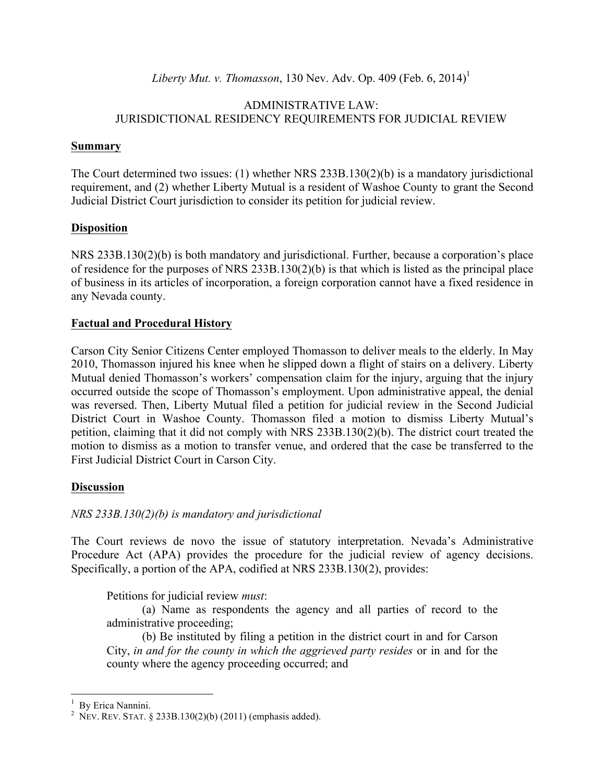*Liberty Mut. v. Thomasson*, 130 Nev. Adv. Op. 409 (Feb. 6, 2014)<sup>1</sup>

#### ADMINISTRATIVE LAW: JURISDICTIONAL RESIDENCY REQUIREMENTS FOR JUDICIAL REVIEW

#### **Summary**

The Court determined two issues: (1) whether NRS 233B.130(2)(b) is a mandatory jurisdictional requirement, and (2) whether Liberty Mutual is a resident of Washoe County to grant the Second Judicial District Court jurisdiction to consider its petition for judicial review.

## **Disposition**

NRS 233B.130(2)(b) is both mandatory and jurisdictional. Further, because a corporation's place of residence for the purposes of NRS 233B.130(2)(b) is that which is listed as the principal place of business in its articles of incorporation, a foreign corporation cannot have a fixed residence in any Nevada county.

## **Factual and Procedural History**

Carson City Senior Citizens Center employed Thomasson to deliver meals to the elderly. In May 2010, Thomasson injured his knee when he slipped down a flight of stairs on a delivery. Liberty Mutual denied Thomasson's workers' compensation claim for the injury, arguing that the injury occurred outside the scope of Thomasson's employment. Upon administrative appeal, the denial was reversed. Then, Liberty Mutual filed a petition for judicial review in the Second Judicial District Court in Washoe County. Thomasson filed a motion to dismiss Liberty Mutual's petition, claiming that it did not comply with NRS 233B.130(2)(b). The district court treated the motion to dismiss as a motion to transfer venue, and ordered that the case be transferred to the First Judicial District Court in Carson City.

#### **Discussion**

## *NRS 233B.130(2)(b) is mandatory and jurisdictional*

The Court reviews de novo the issue of statutory interpretation. Nevada's Administrative Procedure Act (APA) provides the procedure for the judicial review of agency decisions. Specifically, a portion of the APA, codified at NRS 233B.130(2), provides:

Petitions for judicial review *must*:

(a) Name as respondents the agency and all parties of record to the administrative proceeding;

(b) Be instituted by filing a petition in the district court in and for Carson City, *in and for the county in which the aggrieved party resides* or in and for the county where the agency proceeding occurred; and

 $\frac{1}{1}$ By Erica Nannini. <sup>2</sup>

<sup>&</sup>lt;sup>2</sup> NEV. REV. STAT. § 233B.130(2)(b) (2011) (emphasis added).